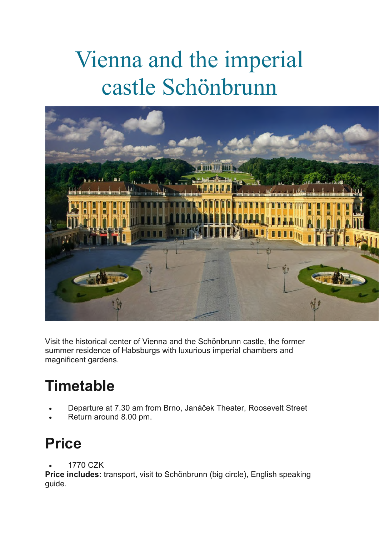## Vienna and the imperial castle Schönbrunn



Visit the historical center of Vienna and the Schönbrunn castle, the former summer residence of Habsburgs with luxurious imperial chambers and magnificent gardens.

## **Timetable**

- Departure at 7.30 am from Brno, Janáček Theater, Roosevelt Street
- Return around 8.00 pm.

## **Price**

1770 CZK

**Price includes:** transport, visit to Schönbrunn (big circle), English speaking guide.